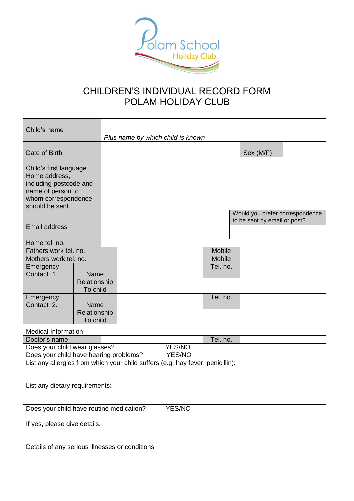

## CHILDREN'S INDIVIDUAL RECORD FORM POLAM HOLIDAY CLUB

| Child's name                                                                          |                          | Plus name by which child is known |        |        |          |  |                                                                 |  |
|---------------------------------------------------------------------------------------|--------------------------|-----------------------------------|--------|--------|----------|--|-----------------------------------------------------------------|--|
| Date of Birth                                                                         |                          |                                   |        |        |          |  | Sex (M/F)                                                       |  |
| Child's first language<br>Home address,                                               |                          |                                   |        |        |          |  |                                                                 |  |
| including postcode and<br>name of person to<br>whom correspondence<br>should be sent. |                          |                                   |        |        |          |  |                                                                 |  |
| <b>Email address</b>                                                                  |                          |                                   |        |        |          |  | Would you prefer correspondence<br>to be sent by email or post? |  |
| Home tel. no.                                                                         |                          |                                   |        |        |          |  |                                                                 |  |
| Fathers work tel. no.                                                                 |                          |                                   |        |        | Mobile   |  |                                                                 |  |
| Mothers work tel. no.                                                                 |                          |                                   |        |        | Mobile   |  |                                                                 |  |
| Emergency                                                                             |                          |                                   |        |        | Tel. no. |  |                                                                 |  |
| Contact 1.                                                                            | Name                     |                                   |        |        |          |  |                                                                 |  |
|                                                                                       | Relationship             |                                   |        |        |          |  |                                                                 |  |
|                                                                                       | To child                 |                                   |        |        |          |  |                                                                 |  |
| Emergency<br>Contact 2.                                                               | Name                     |                                   |        |        | Tel. no. |  |                                                                 |  |
|                                                                                       | Relationship<br>To child |                                   |        |        |          |  |                                                                 |  |
| Medical Information                                                                   |                          |                                   |        |        |          |  |                                                                 |  |
| Doctor's name                                                                         |                          |                                   |        |        | Tel. no. |  |                                                                 |  |
| Does your child wear glasses?                                                         |                          |                                   |        | YES/NO |          |  |                                                                 |  |
| Does your child have hearing problems?                                                |                          |                                   | YES/NO |        |          |  |                                                                 |  |
|                                                                                       |                          |                                   |        |        |          |  |                                                                 |  |
| List any allergies from which your child suffers (e.g. hay fever, penicillin):        |                          |                                   |        |        |          |  |                                                                 |  |
| List any dietary requirements:                                                        |                          |                                   |        |        |          |  |                                                                 |  |
| <b>YES/NO</b><br>Does your child have routine medication?                             |                          |                                   |        |        |          |  |                                                                 |  |
| If yes, please give details.                                                          |                          |                                   |        |        |          |  |                                                                 |  |
| Details of any serious illnesses or conditions:                                       |                          |                                   |        |        |          |  |                                                                 |  |
|                                                                                       |                          |                                   |        |        |          |  |                                                                 |  |